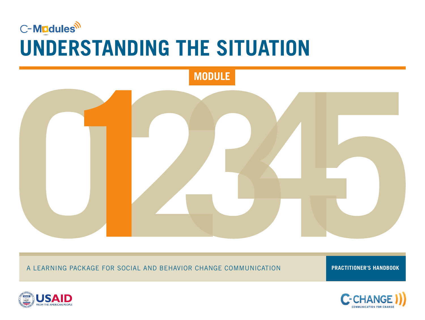# C-Modules<sup>il</sup> **UNDERSTANDING THE SITUATION**



A LEARNING PACKAGE FOR SOCIAL AND BEHAVIOR CHANGE COMMUNICATION

**PRACTITIONER'S HANDBOOK**



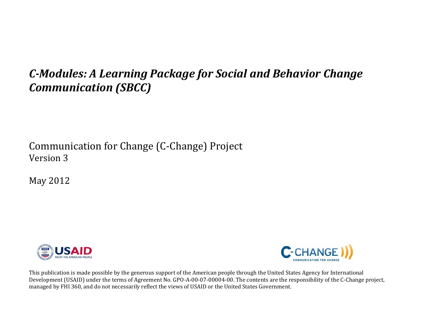## *CModules: A Learning Package for Social and Behavior Change Communication (SBCC)*

Communication for Change (C‐Change) Project Version 3

May 2012





This publication is made possible by the generous support of the American people through the United States Agency for International Development (USAID) under the terms of Agreement No. GPO‐A‐00‐07‐00004‐00. The contents are the responsibility of the C‐Change project, managed by FHI 360, and do not necessarily reflect the views of USAID or the United States Government.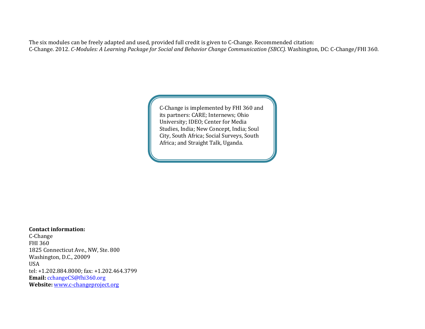The six modules can be freely adapted and used, provided full credit is given to C-Change. Recommended citation: C‐Change. 2012. *CModules: A Learning Package for Social and Behavior Change Communication (SBCC).* Washington, DC: C‐Change/FHI 360.

> C‐Change is implemented by FHI 360 and its partners: CARE; Internews; Ohio University; IDEO; Center for Media Studies, India; New Concept, India; Soul City, South Africa; Social Surveys, South Africa; and Straight Talk, Uganda.

**Contact information:**

C‐Change FHI 360 1825 Connecticut Ave., NW, Ste. 800 Washington, D.C., 20009 USA tel: +1.202.884.8000; fax: +1.202.464.3799 **Email:** cchangeCS@fhi360.org **Website:** www.c‐changeproject.org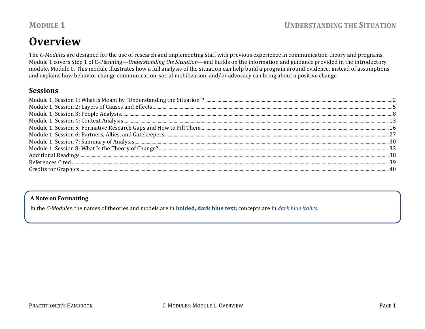## **Overview**

The *CModules* are designed for the use of research and implementing staff with previous experience in communication theory and programs. Module 1 covers Step 1 of C‐Planning—*Understanding the Situation—*and builds on the information and guidance provided in the introductory module, Module 0*.* This module illustrates how a full analysis of the situation can help build a program around evidence, instead of assumptions and explains how behavior change communication, social mobilization, and/or advocacy can bring about a positive change.

#### **Sessions**

#### **A Note on Formatting**

In the *CModules,* the names of theories and models are in **bolded, dark blue text;** concepts are in *dark blue italics.*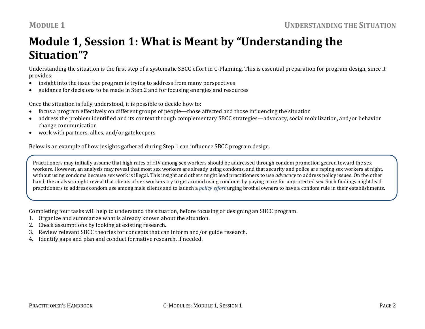## **Module 1, Session 1: What is Meant by "Understanding the Situation"?**

Understanding the situation is the first step of a systematic SBCC effort in C‐Planning. This is essential preparation for program design, since it provides:

- 0 insight into the issue the program is trying to address from many perspectives
- 0 guidance for decisions to be made in Step 2 and for focusing energies and resources

Once the situation is fully understood, it is possible to decide how to:

- $\bullet$ focus a program effectively on different groups of people—those affected and those influencing the situation
- 0 address the problem identified and its context through complementary SBCC strategies—advocacy, social mobilization, and/or behavior change communication
- 0 work with partners, allies, and/or gatekeepers

Below is an example of how insights gathered during Step 1 can influence SBCC program design.

Practitioners may initially assume that high rates of HIV among sex workers should be addressed through condom promotion geared toward the sex workers. However, an analysis may reveal that most sex workers are already using condoms, and that security and police are raping sex workers at night, without using condoms because sex work is illegal. This insight and others might lead practitioners to use *advocacy* to address policy issues. On the other hand, the analysis might reveal that clients of sex workers try to get around using condoms by paying more for unprotected sex. Such findings might lead practitioners to address condom use among male clients and to launch a *policy effort* urging brothel owners to have a condom rule in their establishments.

Completing four tasks will help to understand the situation, before focusing or designing an SBCC program.

- 1. Organize and summarize what is already known about the situation.
- 2. Check assumptions by looking at existing research.
- 3. Review relevant SBCC theories for concepts that can inform and/or guide research.
- 4. Identify gaps and plan and conduct formative research, if needed.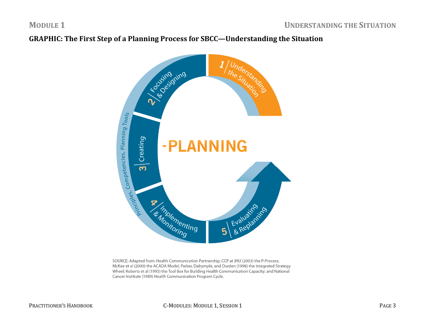### **GRAPHIC: The First Step of <sup>a</sup> Planning Process for SBCC—Understanding the Situation**



SOURCE: Adapted from: Health Communication Partnership, CCP at JHU (2003) the P-Process; McKee et al (2000) the ACADA Model; Parker, Dalrymple, and Durden (1998) the Integrated Strategy Wheel; Roberts et al (1995) the Tool Box for Building Health Communication Capacity; and National Cancer Institute (1989) Health Communication Program Cycle.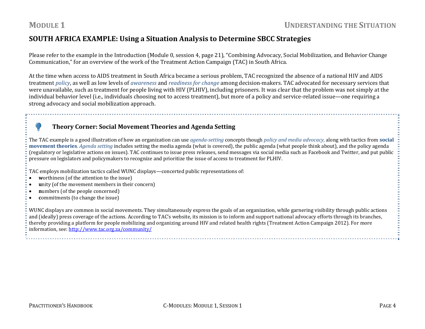#### **SOUTH AFRICA EXAMPLE: Using <sup>a</sup> Situation Analysis to Determine SBCC Strategies**

Please refer to the example in the Introduction (Module 0, session 4, page 21), "Combining Advocacy, Social Mobilization, and Behavior Change Communication," for an overview of the work of the Treatment Action Campaign (TAC) in South Africa.

At the time when access to AIDS treatment in South Africa became a serious problem, TAC recognized the absence of a national HIV and AIDS treatment *policy*, as well as low levels of *awareness* and *readiness for change* among decision‐makers. TAC advocated for necessary services that were unavailable, such as treatment for people living with HIV (PLHIV), including prisoners. It was clear that the problem was not simply at the individual behavior level (i.e., individuals choosing not to access treatment), but more of a policy and service-related issue—one requiring a strong advocacy and social mobilization approach.

#### **Theory Corner: Social Movement Theories and Agenda Setting**

The TAC example is a good illustration of how an organization can use *agendasetting* concepts though *policy and media advocacy,* along with tactics from **social movement theories**. *Agenda setting* includes setting the media agenda (what is covered), the public agenda (what people think about), and the policy agenda (regulatory or legislative actions on issues). TAC continues to issue press releases, send messages via social media such as Facebook and Twitter, and put public pressure on legislators and policymakers to recognize and prioritize the issue of access to treatment for PLHIV.

TAC employs mobilization tactics called WUNC displays—concerted public representations of:

- $\bullet$ **<sup>w</sup>**orthiness (of the attention to the issue)
- c **<sup>u</sup>**nity (of the movement members in their concern)
- $\bullet$ **<sup>n</sup>**umbers (of the people concerned)
- $\bullet$ **<sup>c</sup>**ommitments (to change the issue)

WUNC displays are common in social movements. They simultaneously express the goals of an organization, while garnering visibility through public actions and (ideally) press coverage of the actions. According to TAC's website, its mission is to inform and support national advocacy efforts through its branches, thereby providing a platform for people mobilizing and organizing around HIV and related health rights (Treatment Action Campaign 2012). For more information, see: http://www.tac.org.za/community/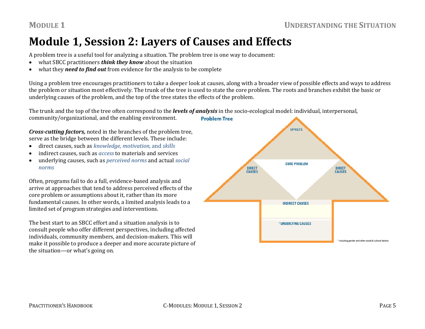## **Module 1, Session 2: Layers of Causes and Effects**

A problem tree is a useful tool for analyzing a situation. The problem tree is one way to document:

- c what SBCC practitioners *think they know* about the situation
- $\bullet$ what they *need to find out* from evidence for the analysis to be complete

Using a problem tree encourages practitioners to take a deeper look at causes, along with a broader view of possible effects and ways to address the problem or situation most effectively. The trunk of the tree is used to state the core problem. The roots and branches exhibit the basic or underlying causes of the problem, and the top of the tree states the effects of the problem.

The trunk and the top of the tree often correspond to the *levels of analysis* in the socio‐ecological model: individual, interpersonal,

community/organizational, and the enabling environment.

*Crosscutting factors,* noted in the branches of the problem tree, serve as the bridge between the different levels. These include:

- . direct causes, such as *knowledge, motivation,* and *skills*
- . indirect causes, such as *access* to materials and services
- . underlying causes, such as *perceived norms* and actual *social norms*

Often, programs fail to do a full, evidence‐based analysis and arrive at approaches that tend to address perceived effects of the core problem or assumptions about it, rather than its more fundamental causes. In other words, a limited analysis leads to a limited set of program strategies and interventions.

The best start to an SBCC effort and a situation analysis is to consult people who offer different perspectives, including affected individuals, community members, and decision‐makers. This will make it possible to produce a deeper and more accurate picture of the situation—or what's going on.

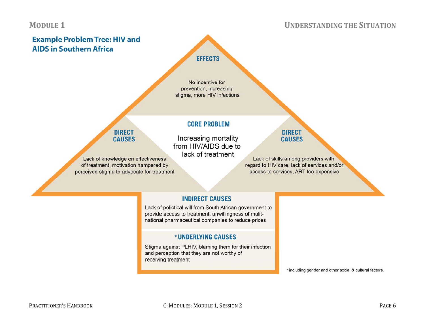#### **UNDERSTANDING THE SITUATION**



#### **INDIRECT CAUSES**

Lack of polictical will from South African government to provide access to treatment, unwillingness of mulitnational pharmaceutical companies to reduce prices

#### \*UNDERLYING CAUSES

Stigma against PLHIV, blaming them for their infection and perception that they are not worthy of receiving treatment

\* including gender and other social & cultural factors.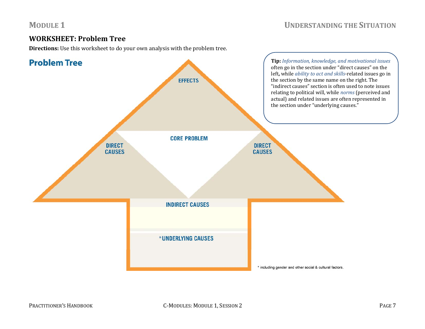#### **WORKSHEET: Problem Tree**

**Directions:** Use this worksheet to do your own analysis with the problem tree.

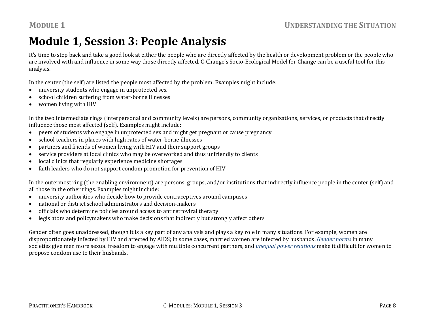## **Module 1, Session 3: People Analysis**

It's time to step back and take a good look at either the people who are directly affected by the health or development problem or the people who are involved with and influence in some way those directly affected. C‐Change's Socio‐Ecological Model for Change can be a useful tool for this analysis.

In the center (the self) are listed the people most affected by the problem. Examples might include:

- $\bullet$ university students who engage in unprotected sex
- c school children suffering from water‐borne illnesses
- $\bullet$ women living with HIV

In the two intermediate rings (interpersonal and community levels) are persons, community organizations, services, or products that directly influence those most affected (self). Examples might include:

- 0 peers of students who engage in unprotected sex and might get pregnant or cause pregnancy
- $\bullet$ school teachers in places with high rates of water‐borne illnesses
- $\bullet$ partners and friends of women living with HIV and their support groups
- 0 service providers at local clinics who may be overworked and thus unfriendly to clients
- $\bullet$ local clinics that regularly experience medicine shortages
- 0 faith leaders who do not support condom promotion for prevention of HIV

In the outermost ring (the enabling environment) are persons, groups, and/or institutions that indirectly influence people in the center (self) and all those in the other rings. Examples might include:

- $\bullet$ university authorities who decide how to provide contraceptives around campuses
- 0 national or district school administrators and decision‐makers
- 0 officials who determine policies around access to antiretroviral therapy
- $\bullet$ legislators and policymakers who make decisions that indirectly but strongly affect others

Gender often goes unaddressed, though it is a key part of any analysis and plays a key role in many situations. For example, women are disproportionately infected by HIV and affected by AIDS; in some cases, married women are infected by husbands. *Gender norms* in many societies give men more sexual freedom to engage with multiple concurrent partners, and *unequal power relations* make it difficult for women to propose condom use to their husbands.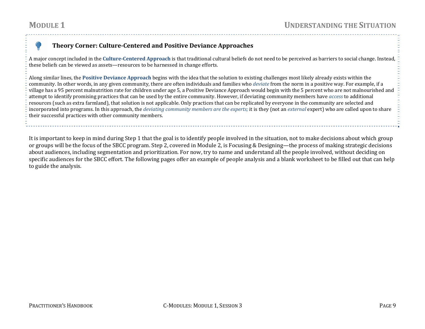#### **Theory Corner: CultureCentered and Positive Deviance Approaches**

A major concept included in the **CultureCentered Approach** is that traditional cultural beliefs do not need to be perceived as barriers to social change. Instead, these beliefs can be viewed as assets—resources to be harnessed in change efforts.

Along similar lines, the **Positive Deviance Approach** begins with the idea that the solution to existing challenges most likely already exists within the community. In other words, in any given community, there are often individuals and families who *deviate* from the norm in a positive way. For example, if a village has a 95 percent malnutrition rate for children under age 5, a Positive Deviance Approach would begin with the 5 percent who are not malnourished and attempt to identify promising practices that can be used by the entire community. However, if deviating community members have *access* to additional resources (such as extra farmland), that solution is not applicable. Only practices that can be replicated by everyone in the community are selected and incorporated into programs. In this approach, the *deviating community members are the experts;* it is they (not an *external* expert) who are called upon to share their successful practices with other community members.

It is important to keep in mind during Step 1 that the goal is to identify people involved in the situation, not to make decisions about which group or groups will be the focus of the SBCC program. Step 2, covered in Module 2, is Focusing & Designing—the process of making strategic decisions about audiences, including segmentation and prioritization. For now, try to name and understand all the people involved, without deciding on specific audiences for the SBCC effort. The following pages offer an example of people analysis and a blank worksheet to be filled out that can help to guide the analysis.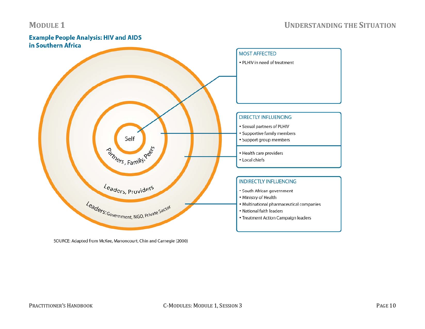### **Example People Analysis: HIV and AIDS** in Southern Africa **MOST AFFECTED** • PLHIV in need of treatment **DIRECTLY INFLUENCING** • Sexual partners of PLHIV • Supportive family members Self • Support group members **Briners, Family, Register** • Health care providers • Local chiefs **INDIRECTLY INFLUENCING** Leaders, Providers · South African government • Ministry of Health Leaders: Government, NGO, Private Sector • Multinational pharmaceutical companies • National faith leaders • Treatment Action Campaign leaders

SOURCE: Adapted from McKee, Manoncourt, Chin and Carnegie (2000)

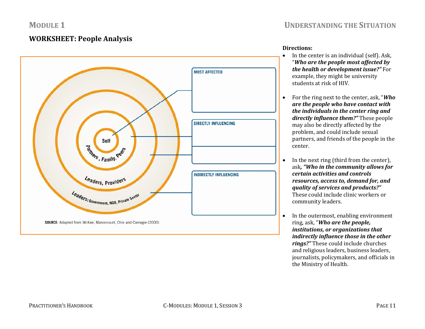#### **WORKSHEET: People Analysis**



### **UNDERSTANDING THE SITUATION**

#### **Directions:**

- In the center is an individual (self). Ask, "*Who are the people most affected by the health or development issue?"* For example, they might be university students at risk of HIV.
- $\bullet$  For the ring next to the center, ask, "*Who are the people who have contact with the individuals in the center ring and directly influence them?"* These people may also be directly affected by the problem, and could include sexual partners, and friends of the people in the center.
- $\bullet$  In the next ring (third from the center), ask*, "Who in the community allows for certain activities and controls resources, access to, demand for, and quality of services and products?"* These could include clinic workers or community leaders.
- $\bullet$  In the outermost, enabling environment ring, ask, "*Who are the people, institutions, or organizations that indirectly influence those in the other rings?"* These could include churches and religious leaders, business leaders, journalists, policymakers, and officials in the Ministry of Health.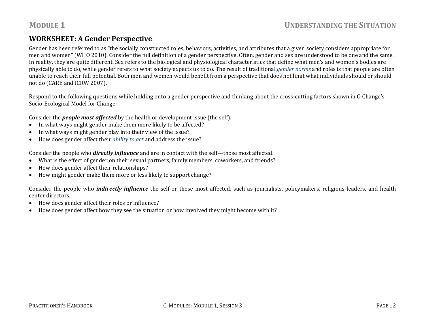#### **WORKSHEET: A Gender Perspective**

Gender has been referred to as "the socially constructed roles, behaviors, activities, and attributes that a given society considers appropriate for men and women" (WHO 2010). Consider the full definition of a gender perspective. Often, gender and sex are understood to be one and the same. In reality, they are quite different. Sex refers to the biological and physiological characteristics that define what men's and women's bodies are physically able to do, while gender refers to what society expects us to do. The result of traditional *gender norms* and roles is that people are often unable to reach their full potential. Both men and women would benefit from a perspective that does not limit what individuals should or should not do (CARE and ICRW 2007).

Respond to the following questions while holding onto a gender perspective and thinking about the cross-cutting factors shown in C-Change's Socio‐Ecological Model for Change:

Consider the *people most affected* by the health or development issue (the self).

- $\bullet$ In what ways might gender make them more likely to be affected?
- . In what ways might gender play into their view of the issue?
- $\bullet$ How does gender affect their *ability to act* and address the issue?

Consider the people who *directly influence* and are in contact with the self—those most affected.

- $\bullet$ What is the effect of gender on their sexual partners, family members, coworkers, and friends?
- . How does gender affect their relationships?
- $\bullet$ How might gender make them more or less likely to support change?

Consider the people who *indirectly influence* the self or those most affected, such as journalists, policymakers, religious leaders, and health center directors.

- $\bullet$ How does gender affect their roles or influence?
- . How does gender affect how they see the situation or how involved they might become with it?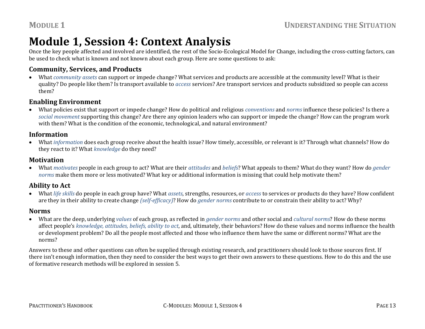## **Module 1, Session 4: Context Analysis**

Once the key people affected and involved are identified, the rest of the Socio-Ecological Model for Change, including the cross-cutting factors, can be used to check what is known and not known about each group. Here are some questions to ask:

#### **Community, Services, and Products**

 $\bullet$  What *community assets* can support or impede change? What services and products are accessible at the community level? What is their quality? Do people like them? Is transport available to *access* services? Are transport services and products subsidized so people can access them?

#### **Enabling Environment**

 What policies exist that support or impede change? How do political and religious *conventions* and *norms* influence these policies? Is there a *social movement* supporting this change? Are there any opinion leaders who can support or impede the change? How can the program work with them? What is the condition of the economic, technological, and natural environment?

#### **Information**

 What *information* does each group receive about the health issue? How timely, accessible, or relevant is it? Through what channels? How do they react to it? What *knowledge* do they need?

#### **Motivation**

 What *motivates* people in each group to act? What are their *attitudes* and *beliefs*? What appeals to them? What do they want? How do *gender norms* make them more or less motivated? What key or additional information is missing that could help motivate them?

#### **Ability to Act**

 What *life skills* do people in each group have? What *assets*, strengths, resources, or *access* to services or products do they have? How confident are they in their ability to create change *(selfefficacy)*? How do *gender norms* contribute to or constrain their ability to act? Why?

#### **Norms**

 What are the deep, underlying *values* of each group, as reflected in *gender norms* and other social and *cultural norms*? How do these norms affect people's *knowledge, attitudes, beliefs, ability to act*, and, ultimately, their behaviors? How do these values and norms influence the health or development problem? Do all the people most affected and those who influence them have the same or different norms? What are the norms?

Answers to these and other questions can often be supplied through existing research, and practitioners should look to those sources first. If there isn't enough information, then they need to consider the best ways to get their own answers to these questions. How to do this and the use of formative research methods will be explored in session 5.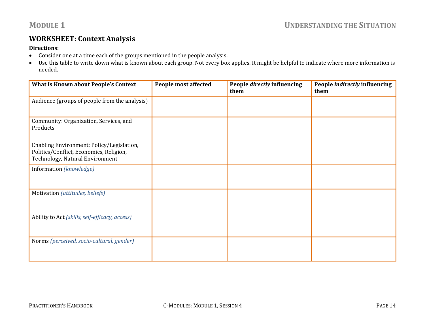#### **WORKSHEET: Context Analysis**

#### **Directions:**

- Consider one at a time each of the groups mentioned in the people analysis.
- Use this table to write down what is known about each group. Not every box applies. It might be helpful to indicate where more information is needed.

| <b>What Is Known about People's Context</b>                                                                             | <b>People most affected</b> | People directly influencing<br>them | People <i>indirectly</i> influencing<br>them |
|-------------------------------------------------------------------------------------------------------------------------|-----------------------------|-------------------------------------|----------------------------------------------|
| Audience (groups of people from the analysis)                                                                           |                             |                                     |                                              |
| Community: Organization, Services, and<br>Products                                                                      |                             |                                     |                                              |
| Enabling Environment: Policy/Legislation,<br>Politics/Conflict, Economics, Religion,<br>Technology, Natural Environment |                             |                                     |                                              |
| Information (knowledge)                                                                                                 |                             |                                     |                                              |
| Motivation (attitudes, beliefs)                                                                                         |                             |                                     |                                              |
| Ability to Act (skills, self-efficacy, access)                                                                          |                             |                                     |                                              |
| Norms (perceived, socio-cultural, gender)                                                                               |                             |                                     |                                              |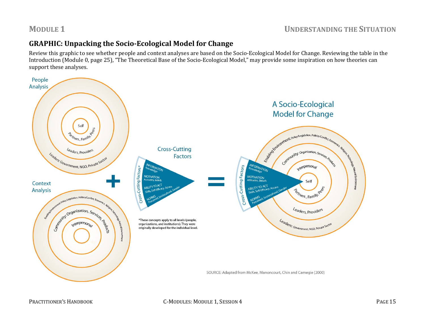#### **GRAPHIC: Unpacking the SocioEcological Model for Change**

Review this graphic to see whether people and context analyses are based on the Socio‐Ecological Model for Change. Reviewing the table in the Introduction (Module 0, page 25), "The Theoretical Base of the Socio-Ecological Model," may provide some inspiration on how theories can support these analyses.

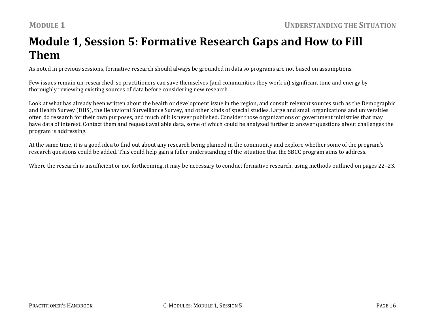## **Module 1, Session 5: Formative Research Gaps and How to Fill Them**

As noted in previous sessions, formative research should always be grounded in data so programs are not based on assumptions.

Few issues remain un-researched, so practitioners can save themselves (and communities they work in) significant time and energy by thoroughly reviewing existing sources of data before considering new research.

Look at what has already been written about the health or development issue in the region, and consult relevant sources such as the Demographic and Health Survey (DHS), the Behavioral Surveillance Survey, and other kinds of special studies. Large and small organizations and universities often do research for their own purposes, and much of it is never published. Consider those organizations or government ministries that may have data of interest. Contact them and request available data, some of which could be analyzed further to answer questions about challenges the program is addressing.

At the same time, it is a good idea to find out about any research being planned in the community and explore whether some of the program's research questions could be added. This could help gain a fuller understanding of the situation that the SBCC program aims to address.

Where the research is insufficient or not forthcoming, it may be necessary to conduct formative research, using methods outlined on pages 22–23.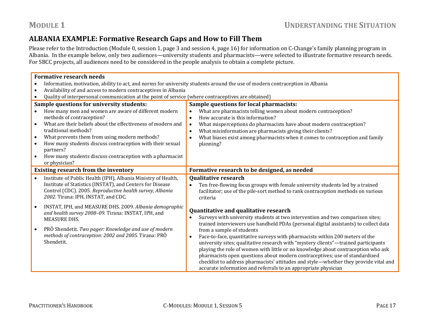### **ALBANIA EXAMPLE: Formative Research Gaps and How to Fill Them**

Please refer to the Introduction (Module 0, session 1, page 3 and session 4, page 16) for information on C‐Change's family planning program in Albania. In the example below, only two audiences—university students and pharmacists—were selected to illustrate formative research needs. For SBCC projects, all audiences need to be considered in the people analysis to obtain a complete picture.

|           | <b>Formative research needs</b>                                                                    |                                                                                                                              |  |
|-----------|----------------------------------------------------------------------------------------------------|------------------------------------------------------------------------------------------------------------------------------|--|
| $\bullet$ |                                                                                                    | Information, motivation, ability to act, and norms for university students around the use of modern contraception in Albania |  |
| $\bullet$ | Availability of and access to modern contraceptives in Albania                                     |                                                                                                                              |  |
|           | Quality of interpersonal communication at the point of service (where contraceptives are obtained) |                                                                                                                              |  |
|           | Sample questions for university students:                                                          | Sample questions for local pharmacists:                                                                                      |  |
|           | How many men and women are aware of different modern                                               | What are pharmacists telling women about modern contraception?<br>$\bullet$                                                  |  |
|           | methods of contraception?                                                                          | How accurate is this information?<br>$\bullet$                                                                               |  |
| $\bullet$ | What are their beliefs about the effectiveness of modern and                                       | What misperceptions do pharmacists have about modern contraception?<br>$\bullet$                                             |  |
|           | traditional methods?                                                                               | What misinformation are pharmacists giving their clients?<br>$\bullet$                                                       |  |
| $\bullet$ | What prevents them from using modern methods?                                                      | What biases exist among pharmacists when it comes to contraception and family<br>$\bullet$                                   |  |
|           | How many students discuss contraception with their sexual<br>partners?                             | planning?                                                                                                                    |  |
| $\bullet$ | How many students discuss contraception with a pharmacist                                          |                                                                                                                              |  |
|           | or physician?                                                                                      |                                                                                                                              |  |
|           | <b>Existing research from the inventory</b>                                                        | Formative research to be designed, as needed                                                                                 |  |
| $\bullet$ | Institute of Public Health (IPH), Albania Ministry of Health,                                      | <b>Qualitative research</b>                                                                                                  |  |
|           | Institute of Statistics (INSTAT), and Centers for Disease                                          | Ten free-flowing focus groups with female university students led by a trained                                               |  |
|           | Control (CDC). 2005. Reproductive health survey, Albania<br>2002. Tirana: IPH, INSTAT, and CDC.    | facilitator; use of the pile-sort method to rank contraception methods on various                                            |  |
|           |                                                                                                    | criteria                                                                                                                     |  |
| $\bullet$ | INSTAT, IPH, and MEASURE DHS. 2009. Albania demographic                                            | Quantitative and qualitative research                                                                                        |  |
|           | and health survey 2008-09. Tirana: INSTAT, IPH, and                                                | Surveys with university students at two intervention and two comparison sites;<br>$\bullet$                                  |  |
|           | <b>MEASURE DHS.</b>                                                                                | trained interviewers use handheld PDAs (personal digital assistants) to collect data                                         |  |
| $\bullet$ | PRÖ Shendetit. Two pager: Knowledge and use of modern                                              | from a sample of students                                                                                                    |  |
|           | methods of contraception: 2002 and 2005. Tirana: PRÖ                                               | Face-to-face, quantitative surveys with pharmacists within 200 meters of the<br>$\bullet$                                    |  |
|           | Shendetit.                                                                                         | university sites; qualitative research with "mystery clients"-trained participants                                           |  |
|           |                                                                                                    | playing the role of women with little or no knowledge about contraception who ask                                            |  |
|           |                                                                                                    | pharmacists open questions about modern contraceptives; use of standardized                                                  |  |
|           |                                                                                                    | checklist to address pharmacists' attitudes and style—whether they provide vital and                                         |  |
|           |                                                                                                    | accurate information and referrals to an appropriate physician                                                               |  |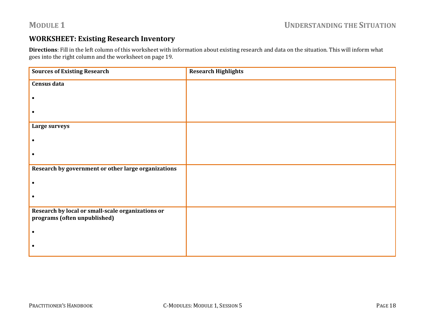#### **WORKSHEET: Existing Research Inventory**

**Directions**: Fill in the left column of this worksheet with information about existing research and data on the situation. This will inform what goes into the right column and the worksheet on page 19.

| <b>Sources of Existing Research</b>                                               | <b>Research Highlights</b> |
|-----------------------------------------------------------------------------------|----------------------------|
| <b>Census data</b>                                                                |                            |
|                                                                                   |                            |
|                                                                                   |                            |
| Large surveys                                                                     |                            |
|                                                                                   |                            |
|                                                                                   |                            |
| Research by government or other large organizations                               |                            |
|                                                                                   |                            |
|                                                                                   |                            |
| Research by local or small-scale organizations or<br>programs (often unpublished) |                            |
|                                                                                   |                            |
|                                                                                   |                            |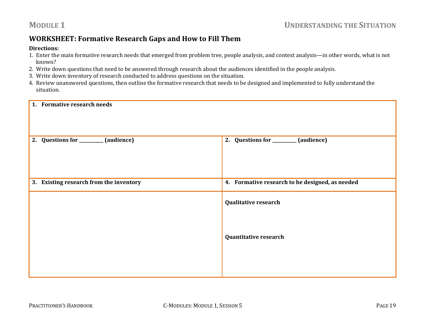#### **WORKSHEET: Formative Research Gaps and How to Fill Them**

#### **Directions:**

- 1. Enter the main formative research needs that emerged from problem tree, people analysis, and context analysis—in other words, what is not known?
- 2. Write down questions that need to be answered through research about the audiences identified in the people analysis.
- 3. Write down inventory of research conducted to address questions on the situation.
- 4. Review unanswered questions, then outline the formative research that needs to be designed and implemented to fully understand the situation.

| 1. Formative research needs             |                                                 |
|-----------------------------------------|-------------------------------------------------|
| 2. Questions for ________ (audience)    | 2. Questions for _______ (audience)             |
| 3. Existing research from the inventory | 4. Formative research to be designed, as needed |
|                                         | <b>Qualitative research</b>                     |
|                                         | <b>Quantitative research</b>                    |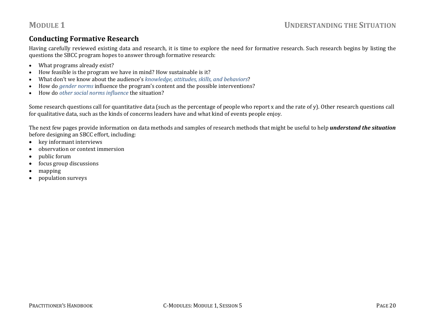#### **Conducting Formative Research**

Having carefully reviewed existing data and research, it is time to explore the need for formative research. Such research begins by listing the questions the SBCC program hopes to answer through formative research:

- $\bullet$ What programs already exist?
- c How feasible is the program we have in mind? How sustainable is it?
- c What don't we know about the audience's *knowledge, attitudes, skills, and behaviors*?
- c How do *gender norms* influence the program's content and the possible interventions?
- $\bullet$ How do *other social norms influence* the situation?

Some research questions call for quantitative data (such as the percentage of people who report x and the rate of y). Other research questions call for qualitative data, such as the kinds of concerns leaders have and what kind of events people enjoy.

The next few pages provide information on data methods and samples of research methods that might be useful to help *understand the situation* before designing an SBCC effort, including:

- $\bullet$ key informant interviews
- . observation or context immersion
- $\bullet$ public forum
- . focus group discussions
- . mapping
- $\bullet$ population surveys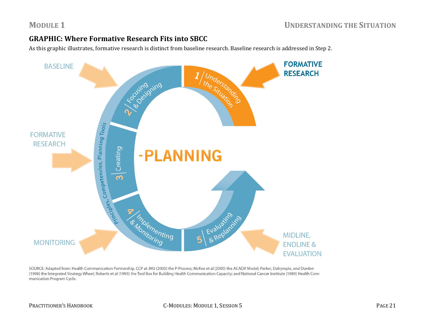#### **GRAPHIC: Where Formative Research Fits into SBCC**

As this graphic illustrates, formative research is distinct from baseline research. Baseline research is addressed in Step 2.



SOURCE: Adapted from: Health Communication Partnership, CCP at JHU (2003) the P-Process; McKee et al (2000) the ACADA Model; Parker, Dalrymple, and Durden (1998) the Integrated Strategy Wheel; Roberts et al (1995) the Tool Box for Building Health Communication Capacity; and National Cancer Institute (1989) Health Communication Program Cycle.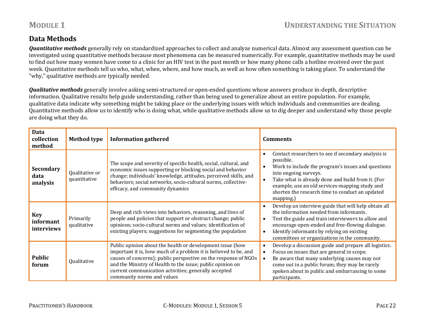#### **Data Methods**

*Quantitative methods* generally rely on standardized approaches to collect and analyze numerical data. Almost any assessment question can be investigated using quantitative methods because most phenomena can be measured numerically. For example, quantitative methods may be used to find out how many women have come to a clinic for an HIV test in the past month or how many phone calls a hotline received over the past week. Quantitative methods tell us who, what, when, where, and how much, as well as how often something is taking place. To understand the "why," qualitative methods are typically needed.

*Qualitative methods* generally involve asking semi-structured or open-ended questions whose answers produce in-depth, descriptive information. Qualitative results help guide understanding, rather than being used to generalize about an entire population. For example, qualitative data indicate why something might be taking place or the underlying issues with which individuals and communities are dealing. Quantitative methods allow us to identify who is doing what, while qualitative methods allow us to dig deeper and understand why those people are doing what they do.

| Data<br>collection<br>method          | <b>Method type</b>             | <b>Information gathered</b>                                                                                                                                                                                                                                                                                                                          | <b>Comments</b>                                                                                                                                                                                                                                                                                                                     |
|---------------------------------------|--------------------------------|------------------------------------------------------------------------------------------------------------------------------------------------------------------------------------------------------------------------------------------------------------------------------------------------------------------------------------------------------|-------------------------------------------------------------------------------------------------------------------------------------------------------------------------------------------------------------------------------------------------------------------------------------------------------------------------------------|
| <b>Secondary</b><br>data<br>analysis  | Qualitative or<br>quantitative | The scope and severity of specific health, social, cultural, and<br>economic issues supporting or blocking social and behavior<br>change; individuals' knowledge, attitudes, perceived skills, and<br>behaviors; social networks, socio-cultural norms, collective-<br>efficacy, and community dynamics                                              | Contact researchers to see if secondary analysis is<br>possible.<br>Work to include the program's issues and questions<br>$\bullet$<br>into ongoing surveys.<br>Take what is already done and build from it. (For<br>example, use an old services-mapping study and<br>shorten the research time to conduct an updated<br>mapping.) |
| <b>Key</b><br>informant<br>interviews | Primarily<br>qualitative       | Deep and rich views into behaviors, reasoning, and lives of<br>people and policies that support or obstruct change; public<br>opinions; socio-cultural norms and values; identification of<br>existing players; suggestions for segmenting the population                                                                                            | Develop an interview guide that will help obtain all<br>the information needed from informants.<br>Test the guide and train interviewers to allow and<br>$\bullet$<br>encourage open-ended and free-flowing dialogue.<br>Identify informants by relying on existing<br>$\bullet$<br>committees or organizations in the community.   |
| <b>Public</b><br>forum                | Qualitative                    | Public opinion about the health or development issue (how<br>important it is, how much of a problem it is believed to be, and<br>causes of concerns); public perspective on the response of NGOs<br>and the Ministry of Health to the issue; public opinion on<br>current communication activities; generally accepted<br>community norms and values | Develop a discussion guide and prepare all logistics.<br>Focus on issues that are general in scope.<br>Be aware that many underlying causes may not<br>come out in a public forum; they may be rarely<br>spoken about in public and embarrassing to some<br>participants.                                                           |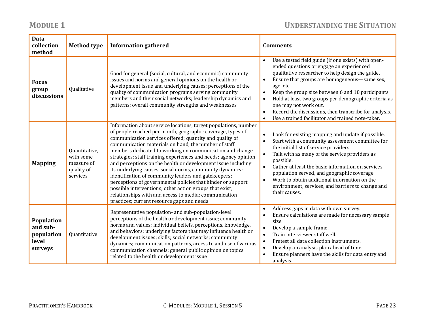### **UNDERSTANDING THE SITUATION**

### **MODULE 1**

| Data<br>collection<br>method                             | <b>Method type</b>                                                 | <b>Information gathered</b>                                                                                                                                                                                                                                                                                                                                                                                                                                                                                                                                                                                                                                                                                                                                                                           | <b>Comments</b>                                                                                                                                                                                                                                                                                                                                                                                                                                                                                                                                     |
|----------------------------------------------------------|--------------------------------------------------------------------|-------------------------------------------------------------------------------------------------------------------------------------------------------------------------------------------------------------------------------------------------------------------------------------------------------------------------------------------------------------------------------------------------------------------------------------------------------------------------------------------------------------------------------------------------------------------------------------------------------------------------------------------------------------------------------------------------------------------------------------------------------------------------------------------------------|-----------------------------------------------------------------------------------------------------------------------------------------------------------------------------------------------------------------------------------------------------------------------------------------------------------------------------------------------------------------------------------------------------------------------------------------------------------------------------------------------------------------------------------------------------|
| <b>Focus</b><br>group<br>discussions                     | Qualitative                                                        | Good for general (social, cultural, and economic) community<br>issues and norms and general opinions on the health or<br>development issue and underlying causes; perceptions of the<br>quality of communication programs serving community<br>members and their social networks; leadership dynamics and<br>patterns; overall community strengths and weaknesses                                                                                                                                                                                                                                                                                                                                                                                                                                     | Use a tested field guide (if one exists) with open-<br>$\bullet$<br>ended questions or engage an experienced<br>qualitative researcher to help design the guide.<br>Ensure that groups are homogeneous-same sex,<br>$\bullet$<br>age, etc.<br>Keep the group size between 6 and 10 participants.<br>$\bullet$<br>Hold at least two groups per demographic criteria as<br>$\bullet$<br>one may not work out.<br>Record the discussions, then transcribe for analysis.<br>$\bullet$<br>Use a trained facilitator and trained note-taker.<br>$\bullet$ |
| <b>Mapping</b>                                           | Quantitative,<br>with some<br>measure of<br>quality of<br>services | Information about service locations, target populations, number<br>of people reached per month, geographic coverage, types of<br>communication services offered; quantity and quality of<br>communication materials on hand, the number of staff<br>members dedicated to working on communication and change<br>strategies; staff training experiences and needs; agency opinion<br>and perceptions on the health or development issue including<br>its underlying causes, social norms, community dynamics;<br>identification of community leaders and gatekeepers;<br>perceptions of governmental policies that hinder or support<br>possible interventions; other action groups that exist;<br>relationships with and access to media; communication<br>practices; current resource gaps and needs | Look for existing mapping and update if possible.<br>$\bullet$<br>Start with a community assessment committee for<br>$\bullet$<br>the initial list of service providers.<br>Talk with as many of the service providers as<br>$\bullet$<br>possible.<br>Gather at least the basic information on services,<br>$\bullet$<br>population served, and geographic coverage.<br>Work to obtain additional information on the<br>$\bullet$<br>environment, services, and barriers to change and<br>their causes.                                            |
| Population<br>and sub-<br>population<br>level<br>surveys | Quantitative                                                       | Representative population- and sub-population-level<br>perceptions of the health or development issue; community<br>norms and values; individual beliefs, perceptions, knowledge,<br>and behaviors; underlying factors that may influence health or<br>development issues; skills; social networks; community<br>dynamics; communication patterns, access to and use of various<br>communication channels; general public opinion on topics<br>related to the health or development issue                                                                                                                                                                                                                                                                                                             | Address gaps in data with own survey.<br>$\bullet$<br>Ensure calculations are made for necessary sample<br>$\bullet$<br>size.<br>Develop a sample frame.<br>$\bullet$<br>Train interviewer staff well.<br>$\bullet$<br>Pretest all data collection instruments.<br>$\bullet$<br>Develop an analysis plan ahead of time.<br>$\bullet$<br>Ensure planners have the skills for data entry and<br>$\bullet$<br>analysis.                                                                                                                                |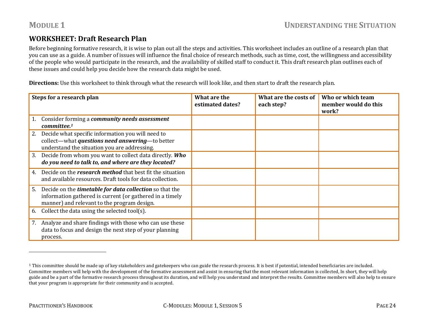#### **WORKSHEET: Draft Research Plan**

Before beginning formative research, it is wise to plan out all the steps and activities. This worksheet includes an outline of a research plan that you can use as a guide. A number of issues will influence the final choice of research methods, such as time, cost, the willingness and accessibility of the people who would participate in the research, and the availability of skilled staff to conduct it. This draft research plan outlines each of these issues and could help you decide how the research data might be used.

**Directions:** Use this worksheet to think through what the research will look like, and then start to draft the research plan.

| Steps for a research plan                                                                                                                                                       | What are the<br>estimated dates? | What are the costs of<br>each step? | Who or which team<br>member would do this<br>work? |
|---------------------------------------------------------------------------------------------------------------------------------------------------------------------------------|----------------------------------|-------------------------------------|----------------------------------------------------|
| Consider forming a <b>community needs assessment</b><br>committee. <sup>1</sup>                                                                                                 |                                  |                                     |                                                    |
| Decide what specific information you will need to<br>2.<br>collect—what <i>questions need answering</i> —to better<br>understand the situation you are addressing.              |                                  |                                     |                                                    |
| Decide from whom you want to collect data directly. Who<br>3.<br>do you need to talk to, and where are they located?                                                            |                                  |                                     |                                                    |
| Decide on the <i>research</i> method that best fit the situation<br>4.<br>and available resources. Draft tools for data collection.                                             |                                  |                                     |                                                    |
| Decide on the <i>timetable for data collection</i> so that the<br>5.<br>information gathered is current (or gathered in a timely<br>manner) and relevant to the program design. |                                  |                                     |                                                    |
| Collect the data using the selected tool(s).<br>6.                                                                                                                              |                                  |                                     |                                                    |
| Analyze and share findings with those who can use these<br>7.<br>data to focus and design the next step of your planning<br>process.                                            |                                  |                                     |                                                    |

 $1$  This committee should be made up of key stakeholders and gatekeepers who can guide the research process. It is best if potential, intended beneficiaries are included. Committee members will help with the development of the formative assessment and assist in ensuring that the most relevant information is collected, In short, they will help guide and be a part of the formative research process throughout its duration, and will help you understand and interpret the results. Committee members will also help to ensure that your program is appropriate for their community and is accepted.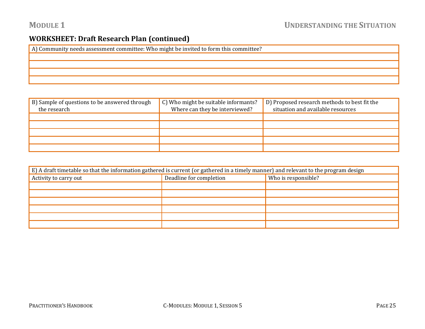#### **WORKSHEET: Draft Research Plan (continued)**

| A) Community needs assessment committee: Who might be invited to form this committee? |
|---------------------------------------------------------------------------------------|
|                                                                                       |
|                                                                                       |
|                                                                                       |
|                                                                                       |

| B) Sample of questions to be answered through<br>the research | C) Who might be suitable informants?<br>Where can they be interviewed? | D) Proposed research methods to best fit the<br>situation and available resources |
|---------------------------------------------------------------|------------------------------------------------------------------------|-----------------------------------------------------------------------------------|
|                                                               |                                                                        |                                                                                   |
|                                                               |                                                                        |                                                                                   |
|                                                               |                                                                        |                                                                                   |
|                                                               |                                                                        |                                                                                   |
|                                                               |                                                                        |                                                                                   |

| E) A draft timetable so that the information gathered is current (or gathered in a timely manner) and relevant to the program design |                         |                     |
|--------------------------------------------------------------------------------------------------------------------------------------|-------------------------|---------------------|
| Activity to carry out                                                                                                                | Deadline for completion | Who is responsible? |
|                                                                                                                                      |                         |                     |
|                                                                                                                                      |                         |                     |
|                                                                                                                                      |                         |                     |
|                                                                                                                                      |                         |                     |
|                                                                                                                                      |                         |                     |
|                                                                                                                                      |                         |                     |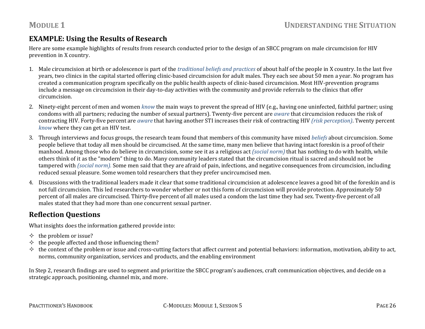### **EXAMPLE: Using the Results of Research**

Here are some example highlights of results from research conducted prior to the design of an SBCC program on male circumcision for HIV prevention in X country.

- 1. Male circumcision at birth or adolescence is part of the *traditional beliefs and practices* of about half of the people in X country. In the last five years, two clinics in the capital started offering clinic‐based circumcision for adult males. They each see about 50 men a year. No program has created a communication program specifically on the public health aspects of clinic‐based circumcision. Most HIV‐prevention programs include a message on circumcision in their day-to-day activities with the community and provide referrals to the clinics that offer circumcision.
- 2. Ninety‐eight percent of men and women *know* the main ways to prevent the spread of HIV (e.g., having one uninfected, faithful partner; using condoms with all partners; reducing the number of sexual partners). Twenty‐five percent are *aware* that circumcision reduces the risk of contracting HIV. Forty‐five percent are *aware* that having another STI increases their risk of contracting HIV *(risk perception)*. Twenty percent *know* where they can get an HIV test.
- 3. Through interviews and focus groups, the research team found that members of this community have mixed *beliefs* about circumcision. Some people believe that today all men should be circumcised. At the same time, many men believe that having intact foreskin is a proof of their manhood. Among those who do believe in circumcision, some see it as a religious act *(social norm)* that has nothing to do with health, while others think of it as the "modern" thing to do. Many community leaders stated that the circumcision ritual is sacred and should not be tampered with *(social norm).* Some men said that they are afraid of pain, infections, and negative consequences from circumcision, including reduced sexual pleasure. Some women told researchers that they prefer uncircumcised men.
- 4. Discussions with the traditional leaders made it clear that some traditional circumcision at adolescence leaves a good bit of the foreskin and is not full circumcision. This led researchers to wonder whether or not this form of circumcision will provide protection. Approximately 50 percent of all males are circumcised. Thirty‐five percent of all males used a condom the last time they had sex. Twenty‐five percent of all males stated that they had more than one concurrent sexual partner.

#### **Reflection Questions**

What insights does the information gathered provide into:

- $\Leftrightarrow$  the problem or issue?
- $\diamond$  the people affected and those influencing them?
- $\diamond$  the context of the problem or issue and cross‐cutting factors that affect current and potential behaviors: information, motivation, ability to act, norms, community organization, services and products, and the enabling environment

In Step 2, research findings are used to segment and prioritize the SBCC program's audiences, craft communication objectives, and decide on a strategic approach, positioning, channel mix, and more.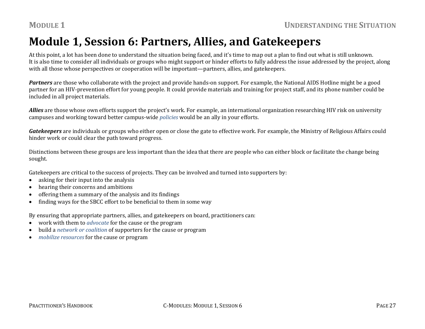## **Module 1, Session 6: Partners, Allies, and Gatekeepers**

At this point, a lot has been done to understand the situation being faced, and it's time to map out a plan to find out what is still unknown. It is also time to consider all individuals or groups who might support or hinder efforts to fully address the issue addressed by the project, along with all those whose perspectives or cooperation will be important—partners, allies, and gatekeepers.

*Partners* are those who collaborate with the project and provide hands‐on support. For example, the National AIDS Hotline might be a good partner for an HIV‐prevention effort for young people. It could provide materials and training for project staff, and its phone number could be included in all project materials.

*Allies* are those whose own efforts support the project's work. For example, an international organization researching HIV risk on university campuses and working toward better campus‐wide *policies* would be an ally in your efforts.

*Gatekeepers* are individuals or groups who either open or close the gate to effective work. For example, the Ministry of Religious Affairs could hinder work or could clear the path toward progress.

Distinctions between these groups are less important than the idea that there are people who can either block or facilitate the change being sought.

Gatekeepers are critical to the success of projects. They can be involved and turned into supporters by:

- 0 asking for their input into the analysis
- 0 hearing their concerns and ambitions
- 0 offering them a summary of the analysis and its findings
- 0 finding ways for the SBCC effort to be beneficial to them in some way

By ensuring that appropriate partners, allies, and gatekeepers on board, practitioners can:

- $\bullet$ work with them to *advocate* for the cause or the program
- 0 build a *network or coalition* of supporters for the cause or program
- . *mobilize resources* for the cause or program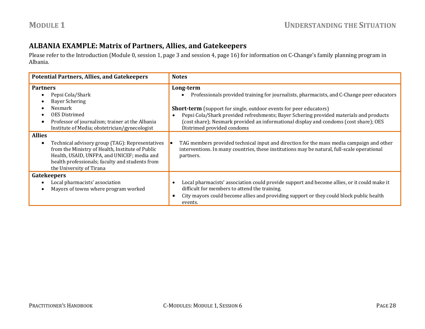#### **ALBANIA EXAMPLE: Matrix of Partners, Allies, and Gatekeepers**

Please refer to the Introduction (Module 0, session 1, page 3 and session 4, page 16) for information on C‐Change's family planning program in Albania.

| <b>Potential Partners, Allies, and Gatekeepers</b>                                                                                                                                                                                                                                                  | <b>Notes</b>                                                                                                                                                                                                                                                                                                                                                           |
|-----------------------------------------------------------------------------------------------------------------------------------------------------------------------------------------------------------------------------------------------------------------------------------------------------|------------------------------------------------------------------------------------------------------------------------------------------------------------------------------------------------------------------------------------------------------------------------------------------------------------------------------------------------------------------------|
| <b>Partners</b><br>Pepsi Cola/Shark<br><b>Bayer Schering</b><br>Nesmark<br><b>OES</b> Distrimed<br>Professor of journalism; trainer at the Albania                                                                                                                                                  | Long-term<br>Professionals provided training for journalists, pharmacists, and C-Change peer educators<br><b>Short-term</b> (support for single, outdoor events for peer educators)<br>Pepsi Cola/Shark provided refreshments; Bayer Schering provided materials and products<br>(cost share); Nesmark provided an informational display and condoms (cost share); OES |
| Institute of Media; obstetrician/gynecologist<br><b>Allies</b><br>Technical advisory group (TAG): Representatives<br>from the Ministry of Health, Institute of Public<br>Health, USAID, UNFPA, and UNICEF; media and<br>health professionals; faculty and students from<br>the University of Tirana | Distrimed provided condoms<br>TAG members provided technical input and direction for the mass media campaign and other<br>interventions. In many countries, these institutions may be natural, full-scale operational<br>partners.                                                                                                                                     |
| Gatekeepers<br>Local pharmacists' association<br>Mayors of towns where program worked                                                                                                                                                                                                               | Local pharmacists' association could provide support and become allies, or it could make it<br>difficult for members to attend the training.<br>City mayors could become allies and providing support or they could block public health<br>events.                                                                                                                     |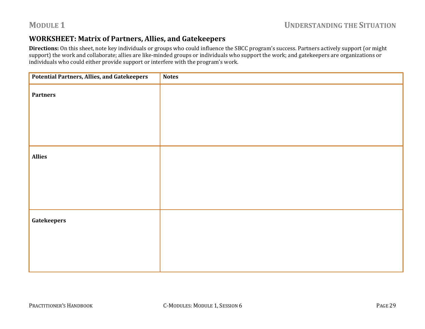#### **WORKSHEET: Matrix of Partners, Allies, and Gatekeepers**

**Directions:** On this sheet, note key individuals or groups who could influence the SBCC program's success. Partners actively support (or might support) the work and collaborate; allies are like-minded groups or individuals who support the work; and gatekeepers are organizations or individuals who could either provide support or interfere with the program's work.

| <b>Potential Partners, Allies, and Gatekeepers</b> | <b>Notes</b> |
|----------------------------------------------------|--------------|
| Partners                                           |              |
|                                                    |              |
|                                                    |              |
| <b>Allies</b>                                      |              |
|                                                    |              |
|                                                    |              |
| <b>Gatekeepers</b>                                 |              |
|                                                    |              |
|                                                    |              |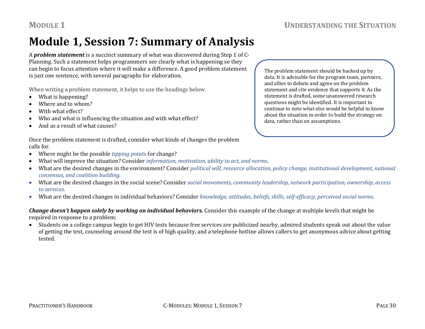## **Module 1, Session 7: Summary of Analysis**

A *problem statement* is a succinct summary of what was discovered during Step 1 of C‐ Planning. Such a statement helps programmers see clearly what is happening so they can begin to focus attention where it will make a difference. A good problem statement is just one sentence, with several paragraphs for elaboration.

When writing a problem statement, it helps to use the headings below.

- What is happening?
- c Where and to whom?
- c With what effect?
- c Who and what is influencing the situation and with what effect?
- $\bullet$ And as a result of what causes?

The problem statement should be backed up by data. It is advisable for the program team, partners, and allies to debate and agree on the problem statement and cite evidence that supports it. As the statement is drafted, some unanswered research questions might be identified. It is important to continue to note what else would be helpful to know about the situation in order to build the strategy on data, rather than on assumptions.

Once the problem statement is drafted, consider what kinds of changes the problem calls for.

- c Where might be the possible *tipping p*oints for change?
- $\bullet$ What will improve the situation? Consider *information, motivation, ability to act, and norms*.
- $\bullet$  What are the desired changes in the environment? Consider *political will, resource allocation, policy change, institutional development, national consensus, and coalition building.*
- What are the desired changes in the social scene? Consider *social movements, community leadership, network participation, ownership, access to services.*
- What are the desired changes in individual behaviors? Consider *knowledge, attitudes, beliefs, skills, selfefficacy, perceived social norms.*

#### *Change doesn't happen solely by working on individual behaviors.* Consider this example of the change at multiple levels that might be required in response to a problem:

 Students on a college campus begin to get HIV tests because free services are publicized nearby, admired students speak out about the value of getting the test, counseling around the test is of high quality, and a telephone hotline allows callers to get anonymous advice about getting tested.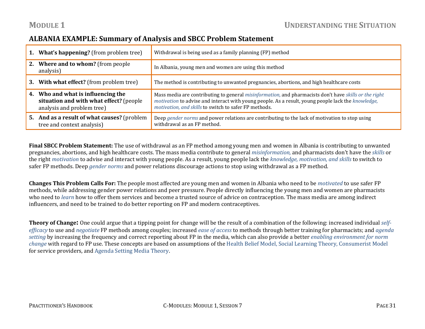#### **ALBANIA EXAMPLE: Summary of Analysis and SBCC Problem Statement**

| <b>1. What's happening?</b> (from problem tree)                                                             | Withdrawal is being used as a family planning (FP) method                                                                                                                                                                                                                   |
|-------------------------------------------------------------------------------------------------------------|-----------------------------------------------------------------------------------------------------------------------------------------------------------------------------------------------------------------------------------------------------------------------------|
| 2. Where and to whom? (from people)<br>analysis)                                                            | In Albania, young men and women are using this method                                                                                                                                                                                                                       |
| 3. With what effect? (from problem tree)                                                                    | The method is contributing to unwanted pregnancies, abortions, and high healthcare costs                                                                                                                                                                                    |
|                                                                                                             |                                                                                                                                                                                                                                                                             |
| 4. Who and what is influencing the<br>situation and with what effect? (people<br>analysis and problem tree) | Mass media are contributing to general misinformation, and pharmacists don't have skills or the right<br><i>motivation</i> to advise and interact with young people. As a result, young people lack the knowledge,<br>motivation, and skills to switch to safer FP methods. |

**Final SBCC Problem Statement:** The use of withdrawal as an FP method among young men and women in Albania is contributing to unwanted pregnancies, abortions, and high healthcare costs. The mass media contribute to general *misinformation,* and pharmacists don't have the *skills* or the right *motivation* to advise and interact with young people. As a result, young people lack the *knowledge, motivation, and skills* to switch to safer FP methods. Deep *gender norms* and power relations discourage actions to stop using withdrawal as a FP method.

**Changes This Problem Calls For:** The people most affected are young men and women in Albania who need to be *motivated* to use safer FP methods, while addressing gender power relations and peer pressure. People directly influencing the young men and women are pharmacists who need to *learn* how to offer them services and become a trusted source of advice on contraception. The mass media are among indirect influencers, and need to be trained to do better reporting on FP and modern contraceptives.

**Theory of Change:** One could argue that a tipping point for change will be the result of a combination of the following: increased individual *selfefficacy* to use and *negotiate* FP methods among couples; increased *ease of access* to methods through better training for pharmacists; and *agenda setting* by increasing the frequency and correct reporting about FP in the media, which can also provide a better *enabling environment for norm change* with regard to FP use. These concepts are based on assumptions of the Health Belief Model, Social Learning Theory, Consumerist Model for service providers, and Agenda Setting Media Theory.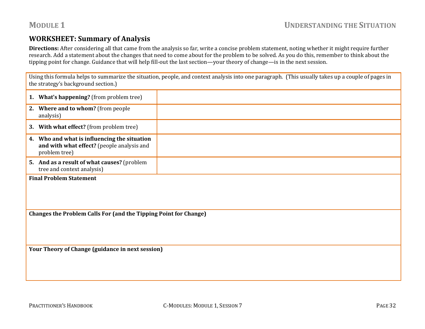#### **WORKSHEET: Summary of Analysis**

**Directions:** After considering all that came from the analysis so far, write a concise problem statement, noting whether it might require further research. Add a statement about the changes that need to come about for the problem to be solved. As you do this, remember to think about the tipping point for change. Guidance that will help fill‐out the last section—your theory of change—is in the next session.

Using this formula helps to summarize the situation, people, and context analysis into one paragraph. (This usually takes up a couple of pages in the strategy's background section.)

|    | <b>1. What's happening?</b> (from problem tree)                                                          |  |
|----|----------------------------------------------------------------------------------------------------------|--|
|    | 2. Where and to whom? (from people)<br>analysis)                                                         |  |
|    | 3. With what effect? (from problem tree)                                                                 |  |
| 4. | Who and what is influencing the situation<br>and with what effect? (people analysis and<br>problem tree) |  |
|    | 5. And as a result of what causes? (problem<br>tree and context analysis)                                |  |
|    | $\mathbf{r}$ is $\mathbf{r}$ and $\mathbf{r}$ is an $\mathbf{r}$                                         |  |

**Final Problem Statement**

**Changes the Problem Calls For (and the Tipping Point for Change)**

**Your Theory of Change (guidance in next session)**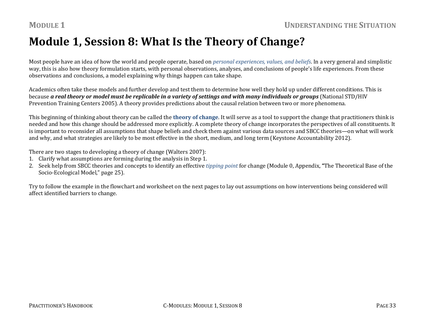## **Module 1, Session 8: What Is the Theory of Change?**

Most people have an idea of how the world and people operate, based on *personal experiences, values, and beliefs*. In a very general and simplistic way, this is also how theory formulation starts, with personal observations, analyses, and conclusions of people's life experiences. From these observations and conclusions, a model explaining why things happen can take shape.

Academics often take these models and further develop and test them to determine how well they hold up under different conditions. This is because **a real theory or model must be replicable in a variety of settings and with many individuals or groups** (National STD/HIV Prevention Training Centers 2005). A theory provides predictions about the causal relation between two or more phenomena.

This beginning of thinking about theory can be called the **theory of change**. It will serve as a tool to support the change that practitioners think is needed and how this change should be addressed more explicitly. A complete theory of change incorporates the perspectives of all constituents. It is important to reconsider all assumptions that shape beliefs and check them against various data sources and SBCC theories—on what will work and why, and what strategies are likely to be most effective in the short, medium, and long term (Keystone Accountability 2012).

There are two stages to developing a theory of change (Walters 2007):

- 1. Clarify what assumptions are forming during the analysis in Step 1.
- 2. Seek help from SBCC theories and concepts to identify an effective *tipping point* for change (Module 0, Appendix, **"**The Theoretical Base of the Socio‐Ecological Model," page 25).

Try to follow the example in the flowchart and worksheet on the next pages to lay out assumptions on how interventions being considered will affect identified barriers to change.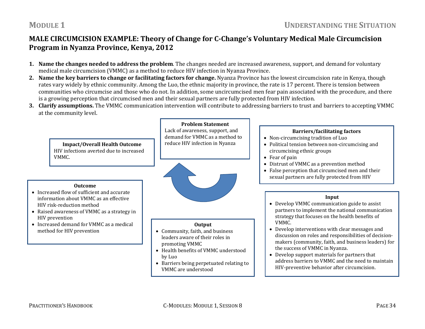### **MALE CIRCUMCISION EXAMPLE: Theory of Change for CChange's Voluntary Medical Male Circumcision Program in Nyanza Province, Kenya, 2012**

- **1. Name the changes needed to address the problem**. The changes needed are increased awareness, support, and demand for voluntary medical male circumcision (VMMC) as a method to reduce HIV infection in Nyanza Province.
- **2. Name the key barriers to change or facilitating factors for change.** Nyanza Province has the lowest circumcision rate in Kenya, though rates vary widely by ethnic community. Among the Luo, the ethnic majority in province, the rate is 17 percent. There is tension between communities who circumcise and those who do not. In addition, some uncircumcised men fear pain associated with the procedure, and there is a growing perception that circumcised men and their sexual partners are fully protected from HIV infection.
- **3. Clarify assumptions.** The VMMC communication intervention will contribute to addressing barriers to trust and barriers to accepting VMMC at the community level.

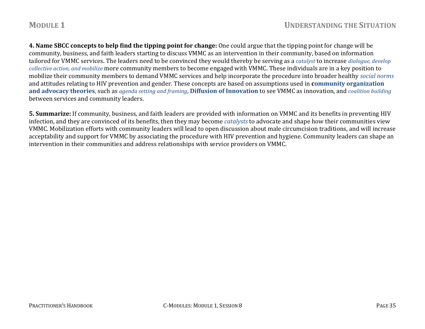**4. Name SBCC concepts to help find the tipping point for change:** One could argue that the tipping point for change will be community, business, and faith leaders starting to discuss VMMC as an intervention in their community, based on information tailored for VMMC services. The leaders need to be convinced they would thereby be serving as a *catalyst* to increase *dialogue, develop collective action, and mobilize* more community members to become engaged with VMMC. These individuals are in a key position to mobilize their community members to demand VMMC services and help incorporate the procedure into broader healthy *social norms* and attitudes relating to HIV prevention and gender. These concepts are based on assumptions used in **community organization and advocacy theories**, such as *agenda setting and framing*, **Diffusion of Innovation** to see VMMC as innovation, and *coalition building* between services and community leaders.

**5. Summarize:** If community, business, and faith leaders are provided with information on VMMC and its benefits in preventing HIV infection, and they are convinced of its benefits, then they may become *catalysts* to advocate and shape how their communities view VMMC. Mobilization efforts with community leaders will lead to open discussion about male circumcision traditions, and will increase acceptability and support for VMMC by associating the procedure with HIV prevention and hygiene. Community leaders can shape an intervention in their communities and address relationships with service providers on VMMC.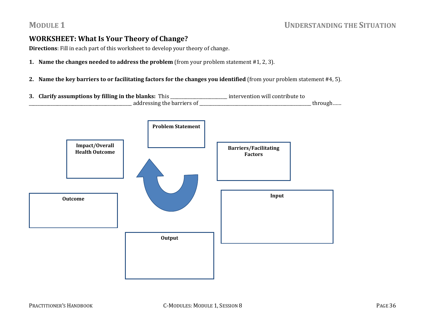#### **WORKSHEET: What Is Your Theory of Change?**

**Directions**: Fill in each part of this worksheet to develop your theory of change.

- **1. Name the changes needed to address the problem** (from your problem statement #1, 2, 3).
- **2. Name the key barriers to or facilitating factors for the changes you identified** (from your problem statement #4, 5).
- **3. Clarify assumptions by filling in the blanks:** This \_\_\_\_\_\_\_\_\_\_\_\_\_\_\_\_\_\_\_\_\_\_\_\_\_\_ intervention will contribute to \_\_\_\_\_\_\_\_\_\_\_\_\_\_\_\_\_\_\_\_\_\_\_\_\_\_\_\_\_\_\_\_\_\_\_\_\_\_\_\_\_\_\_\_\_\_\_ addressing the barriers of \_\_\_\_\_\_\_\_\_\_\_\_\_\_\_\_\_\_\_\_\_\_\_\_\_\_\_\_\_\_\_\_\_\_\_\_\_\_\_\_\_\_\_\_\_\_\_\_\_\_\_ through……

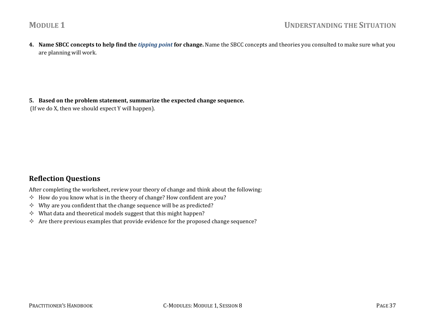**4. Name SBCC concepts to help find the** *tipping point* **for change.** Name the SBCC concepts and theories you consulted to make sure what you are planning will work.

**5. Based on the problem statement, summarize the expected change sequence.**

(If we do X, then we should expect Y will happen).

#### **Reflection Questions**

After completing the worksheet, review your theory of change and think about the following:

- $\diamond$  How do you know what is in the theory of change? How confident are you?
- $\diamond$  Why are you confident that the change sequence will be as predicted?
- $\diamond$  What data and theoretical models suggest that this might happen?
- $\diamond$  Are there previous examples that provide evidence for the proposed change sequence?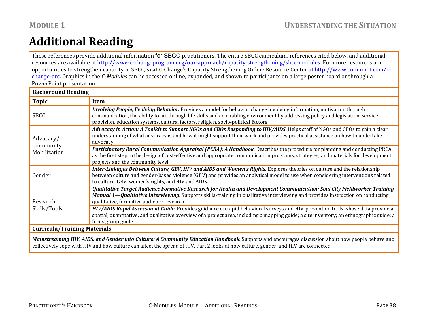## **Additional Reading**

These references provide additional information for SBCC practitioners. The entire SBCC curriculum, references cited below, and additional resources are available at http://www.c‐changeprogram.org/our‐approach/capacity‐strengthening/sbcc‐modules. For more resources and opportunities to strengthen capacity in SBCC, visit C-Change's Capacity Strengthening Online Resource Center at http://www.comminit.com/cchange‐orc. Graphics in the *CModules* can be accessed online, expanded, and shown to participants on a large poster board or through a PowerPoint presentation.

| <b>Background Reading</b>           |                                                                                                                                                                                                                                                                                                                                                     |  |  |
|-------------------------------------|-----------------------------------------------------------------------------------------------------------------------------------------------------------------------------------------------------------------------------------------------------------------------------------------------------------------------------------------------------|--|--|
| <b>Topic</b>                        | Item                                                                                                                                                                                                                                                                                                                                                |  |  |
| <b>SBCC</b>                         | <b>Involving People, Evolving Behavior.</b> Provides a model for behavior change involving information, motivation through<br>communication, the ability to act through life skills and an enabling environment by addressing policy and legislation, service<br>provision, education systems, cultural factors, religion, socio-political factors. |  |  |
| Advocacy/<br>Community              | Advocacy in Action: A Toolkit to Support NGOs and CBOs Responding to HIV/AIDS. Helps staff of NGOs and CBOs to gain a clear<br>understanding of what advocacy is and how it might support their work and provides practical assistance on how to undertake<br>advocacy.                                                                             |  |  |
| Mobilization                        | Participatory Rural Communication Appraisal (PCRA): A Handbook. Describes the procedure for planning and conducting PRCA<br>as the first step in the design of cost-effective and appropriate communication programs, strategies, and materials for development<br>projects and the community level.                                                |  |  |
| Gender                              | Inter-Linkages Between Culture, GBV, HIV and AIDS and Women's Rights. Explores theories on culture and the relationship<br>between culture and gender-based violence (GBV) and provides an analytical model to use when considering interventions related<br>to culture, GBV, women's rights, and HIV and AIDS.                                     |  |  |
| Research                            | Qualitative Target Audience Formative Research for Health and Development Communication: Soul City Fieldworker Training<br>Manual 1—Qualitative Interviewing. Supports skills-training in qualitative interviewing and provides instruction on conducting<br>qualitative, formative audience research.                                              |  |  |
| Skills/Tools                        | HIV/AIDS Rapid Assessment Guide. Provides guidance on rapid behavioral surveys and HIV-prevention tools whose data provide a<br>spatial, quantitative, and qualitative overview of a project area, including a mapping guide; a site inventory; an ethnographic guide; a<br>focus group guide                                                       |  |  |
| <b>Curricula/Training Materials</b> |                                                                                                                                                                                                                                                                                                                                                     |  |  |
|                                     |                                                                                                                                                                                                                                                                                                                                                     |  |  |

*Mainstreaming HIV, AIDS, and Gender into Culture: A Community Education Handbook.* Supports and encourages discussion about how people behave and collectively cope with HIV and how culture can affect the spread of HIV. Part 2 looks at how culture, gender, and HIV are connected.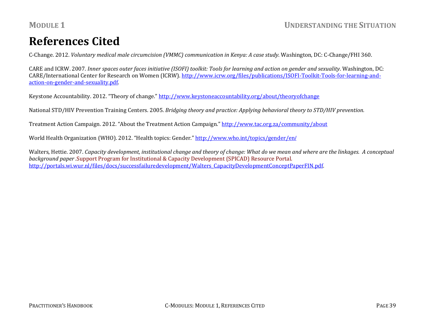## **References Cited**

C‐Change. 2012. *Voluntary medical male circumcision (VMMC) communication in Kenya: A case study*. Washington, DC: C‐Change/FHI 360.

CARE and ICRW. 2007. Inner spaces outer faces initiative (ISOFI) toolkit: Tools for learning and action on gender and sexuality. Washington, DC: CARE/International Center for Research on Women (ICRW). http://www.icrw.org/files/publications/ISOFI‐Toolkit‐Tools‐for‐learning‐and‐ action‐on‐gender‐and‐sexuality.pdf.

Keystone Accountability. 2012. "Theory of change." http://www.keystoneaccountability.org/about/theoryofchange

National STD/HIV Prevention Training Centers. 2005. *Bridging theory and practice: Applying behavioral theory to STD/HIV prevention.*

Treatment Action Campaign. 2012. "About the Treatment Action Campaign." http://www.tac.org.za/community/about

World Health Organization (WHO). 2012. "Health topics: Gender." http://www.who.int/topics/gender/en/

Walters, Hettie. 2007. Capacity development, institutional change and theory of change: What do we mean and where are the linkages. A conceptual *background paper .*Support Program for Institutional & Capacity Development (SPICAD) Resource Portal. http://portals.wi.wur.nl/files/docs/successfailuredevelopment/Walters\_CapacityDevelopmentConceptPaperFIN.pdf.